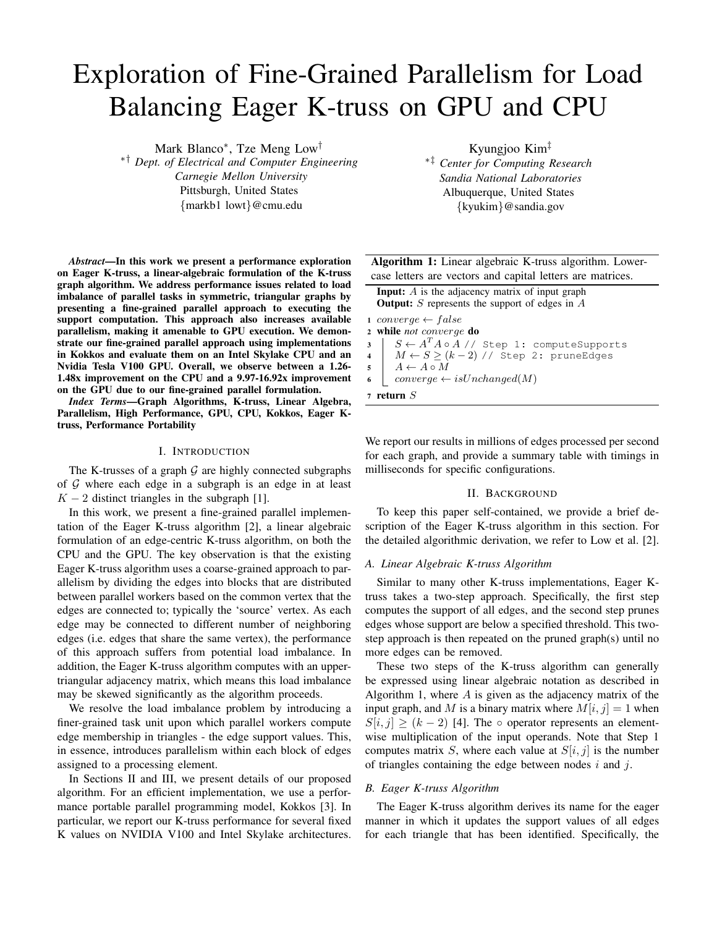# Exploration of Fine-Grained Parallelism for Load Balancing Eager K-truss on GPU and CPU

Mark Blanco<sup>∗</sup> , Tze Meng Low†

∗† *Dept. of Electrical and Computer Engineering Carnegie Mellon University* Pittsburgh, United States {markb1 lowt}@cmu.edu

*Abstract*—In this work we present a performance exploration on Eager K-truss, a linear-algebraic formulation of the K-truss graph algorithm. We address performance issues related to load imbalance of parallel tasks in symmetric, triangular graphs by presenting a fine-grained parallel approach to executing the support computation. This approach also increases available parallelism, making it amenable to GPU execution. We demonstrate our fine-grained parallel approach using implementations in Kokkos and evaluate them on an Intel Skylake CPU and an Nvidia Tesla V100 GPU. Overall, we observe between a 1.26- 1.48x improvement on the CPU and a 9.97-16.92x improvement on the GPU due to our fine-grained parallel formulation.

*Index Terms*—Graph Algorithms, K-truss, Linear Algebra, Parallelism, High Performance, GPU, CPU, Kokkos, Eager Ktruss, Performance Portability

## I. INTRODUCTION

The K-trusses of a graph  $G$  are highly connected subgraphs of  $G$  where each edge in a subgraph is an edge in at least  $K - 2$  distinct triangles in the subgraph [1].

In this work, we present a fine-grained parallel implementation of the Eager K-truss algorithm [2], a linear algebraic formulation of an edge-centric K-truss algorithm, on both the CPU and the GPU. The key observation is that the existing Eager K-truss algorithm uses a coarse-grained approach to parallelism by dividing the edges into blocks that are distributed between parallel workers based on the common vertex that the edges are connected to; typically the 'source' vertex. As each edge may be connected to different number of neighboring edges (i.e. edges that share the same vertex), the performance of this approach suffers from potential load imbalance. In addition, the Eager K-truss algorithm computes with an uppertriangular adjacency matrix, which means this load imbalance may be skewed significantly as the algorithm proceeds.

We resolve the load imbalance problem by introducing a finer-grained task unit upon which parallel workers compute edge membership in triangles - the edge support values. This, in essence, introduces parallelism within each block of edges assigned to a processing element.

In Sections II and III, we present details of our proposed algorithm. For an efficient implementation, we use a performance portable parallel programming model, Kokkos [3]. In particular, we report our K-truss performance for several fixed K values on NVIDIA V100 and Intel Skylake architectures. Kyungjoo Kim‡

∗‡ *Center for Computing Research Sandia National Laboratories* Albuquerque, United States {kyukim}@sandia.gov

Algorithm 1: Linear algebraic K-truss algorithm. Lowercase letters are vectors and capital letters are matrices.

|                         | <b>Input:</b> $\vec{A}$ is the adjacency matrix of input graph<br><b>Output:</b> S represents the support of edges in $\overline{A}$ |  |  |  |  |  |  |  |  |
|-------------------------|--------------------------------------------------------------------------------------------------------------------------------------|--|--|--|--|--|--|--|--|
|                         | $1 \text{ converge} \leftarrow false$                                                                                                |  |  |  |  |  |  |  |  |
|                         | 2 while not converge do                                                                                                              |  |  |  |  |  |  |  |  |
|                         | $3 \quad   \quad S \leftarrow A^TA \circ A \; / \; / \;$ Step 1: computeSupports                                                     |  |  |  |  |  |  |  |  |
| $\overline{\mathbf{4}}$ | $M \leftarrow S \ge (k-2)$ // Step 2: pruneEdges                                                                                     |  |  |  |  |  |  |  |  |
| $\overline{\mathbf{5}}$ | $A \leftarrow A \circ M$                                                                                                             |  |  |  |  |  |  |  |  |
| 6                       | $converge \leftarrow isUnchanged(M)$                                                                                                 |  |  |  |  |  |  |  |  |
|                         | $\sigma$ return $S$                                                                                                                  |  |  |  |  |  |  |  |  |

We report our results in millions of edges processed per second for each graph, and provide a summary table with timings in milliseconds for specific configurations.

#### II. BACKGROUND

To keep this paper self-contained, we provide a brief description of the Eager K-truss algorithm in this section. For the detailed algorithmic derivation, we refer to Low et al. [2].

#### *A. Linear Algebraic K-truss Algorithm*

Similar to many other K-truss implementations, Eager Ktruss takes a two-step approach. Specifically, the first step computes the support of all edges, and the second step prunes edges whose support are below a specified threshold. This twostep approach is then repeated on the pruned graph(s) until no more edges can be removed.

These two steps of the K-truss algorithm can generally be expressed using linear algebraic notation as described in Algorithm 1, where  $A$  is given as the adjacency matrix of the input graph, and M is a binary matrix where  $M[i, j] = 1$  when  $S[i, j] > (k-2)$  [4]. The ∘ operator represents an elementwise multiplication of the input operands. Note that Step 1 computes matrix S, where each value at  $S[i, j]$  is the number of triangles containing the edge between nodes  $i$  and  $j$ .

# *B. Eager K-truss Algorithm*

The Eager K-truss algorithm derives its name for the eager manner in which it updates the support values of all edges for each triangle that has been identified. Specifically, the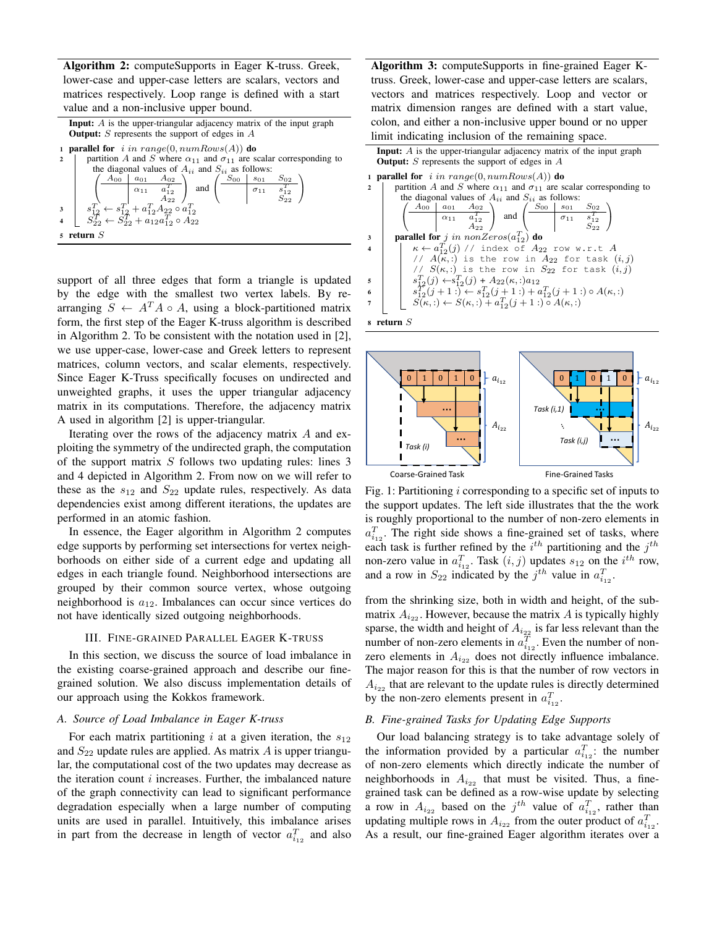Algorithm 2: computeSupports in Eager K-truss. Greek, lower-case and upper-case letters are scalars, vectors and matrices respectively. Loop range is defined with a start value and a non-inclusive upper bound.

|                | <b>Input:</b> A is the upper-triangular adjacency matrix of the input graph                                                                                                                                                                                                                                                                                                                                                           |  |  |  |  |  |  |  |  |  |  |
|----------------|---------------------------------------------------------------------------------------------------------------------------------------------------------------------------------------------------------------------------------------------------------------------------------------------------------------------------------------------------------------------------------------------------------------------------------------|--|--|--|--|--|--|--|--|--|--|
|                | <b>Output:</b> S represents the support of edges in $A$                                                                                                                                                                                                                                                                                                                                                                               |  |  |  |  |  |  |  |  |  |  |
|                | 1 <b>parallel for</b> i in range(0, numRows(A)) do                                                                                                                                                                                                                                                                                                                                                                                    |  |  |  |  |  |  |  |  |  |  |
| $\overline{2}$ | partition A and S where $\alpha_{11}$ and $\sigma_{11}$ are scalar corresponding to                                                                                                                                                                                                                                                                                                                                                   |  |  |  |  |  |  |  |  |  |  |
|                | the diagonal values of $A_{ii}$ and $S_{ii}$ as follows:                                                                                                                                                                                                                                                                                                                                                                              |  |  |  |  |  |  |  |  |  |  |
|                | $\begin{array}{c}\n3 \\ 3 \\ 3 \\ 52 \\ 52 \\ -2\n\end{array}\n\left(\n\begin{array}{c cc}\nA_{00} & a_{01} & A_{02} \\ \hline\n\alpha_{11} & a_{12}^T \\ \hline\n\alpha_{22} & A_{22}\n\end{array}\n\right)\n\left(\n\begin{array}{c cc}\nB_{00} & s_{01} & S_{02} \\ \hline\n\alpha_{11} & s_{12}^T \\ \hline\n\alpha_{11} & s_{12}^T \\ \hline\n\alpha_{22} & A_{22}\n\end{array}\n\right) \\ \text{and}\n\left(\n\begin{array}{c$ |  |  |  |  |  |  |  |  |  |  |
|                |                                                                                                                                                                                                                                                                                                                                                                                                                                       |  |  |  |  |  |  |  |  |  |  |
|                |                                                                                                                                                                                                                                                                                                                                                                                                                                       |  |  |  |  |  |  |  |  |  |  |
|                | $\,$ s $\,$ return $\,$ $S$                                                                                                                                                                                                                                                                                                                                                                                                           |  |  |  |  |  |  |  |  |  |  |

support of all three edges that form a triangle is updated by the edge with the smallest two vertex labels. By rearranging  $S \leftarrow A^T A \circ A$ , using a block-partitioned matrix form, the first step of the Eager K-truss algorithm is described in Algorithm 2. To be consistent with the notation used in [2], we use upper-case, lower-case and Greek letters to represent matrices, column vectors, and scalar elements, respectively. Since Eager K-Truss specifically focuses on undirected and unweighted graphs, it uses the upper triangular adjacency matrix in its computations. Therefore, the adjacency matrix A used in algorithm [2] is upper-triangular.

Iterating over the rows of the adjacency matrix A and exploiting the symmetry of the undirected graph, the computation of the support matrix  $S$  follows two updating rules: lines 3 and 4 depicted in Algorithm 2. From now on we will refer to these as the  $s_{12}$  and  $S_{22}$  update rules, respectively. As data dependencies exist among different iterations, the updates are performed in an atomic fashion.

In essence, the Eager algorithm in Algorithm 2 computes edge supports by performing set intersections for vertex neighborhoods on either side of a current edge and updating all edges in each triangle found. Neighborhood intersections are grouped by their common source vertex, whose outgoing neighborhood is  $a_{12}$ . Imbalances can occur since vertices do not have identically sized outgoing neighborhoods.

## III. FINE-GRAINED PARALLEL EAGER K-TRUSS

In this section, we discuss the source of load imbalance in the existing coarse-grained approach and describe our finegrained solution. We also discuss implementation details of our approach using the Kokkos framework.

# *A. Source of Load Imbalance in Eager K-truss*

For each matrix partitioning i at a given iteration, the  $s_{12}$ and  $S_{22}$  update rules are applied. As matrix A is upper triangular, the computational cost of the two updates may decrease as the iteration count  $i$  increases. Further, the imbalanced nature of the graph connectivity can lead to significant performance degradation especially when a large number of computing units are used in parallel. Intuitively, this imbalance arises in part from the decrease in length of vector  $a_{i_{12}}^T$  and also Algorithm 3: computeSupports in fine-grained Eager Ktruss. Greek, lower-case and upper-case letters are scalars, vectors and matrices respectively. Loop and vector or matrix dimension ranges are defined with a start value, colon, and either a non-inclusive upper bound or no upper limit indicating inclusion of the remaining space.

|                         | <b>Input:</b> $\vec{A}$ is the upper-triangular adjacency matrix of the input graph                                                                                                                                                                 |  |  |  |  |  |  |  |  |  |  |  |
|-------------------------|-----------------------------------------------------------------------------------------------------------------------------------------------------------------------------------------------------------------------------------------------------|--|--|--|--|--|--|--|--|--|--|--|
|                         | <b>Output:</b> S represents the support of edges in $\overline{A}$                                                                                                                                                                                  |  |  |  |  |  |  |  |  |  |  |  |
|                         | 1 <b>parallel for</b> i in range(0, $numRows(A)$ ) do                                                                                                                                                                                               |  |  |  |  |  |  |  |  |  |  |  |
| $\mathbf{2}$            | partition A and S where $\alpha_{11}$ and $\sigma_{11}$ are scalar corresponding to                                                                                                                                                                 |  |  |  |  |  |  |  |  |  |  |  |
|                         | the diagonal values of $A_{ii}$ and $S_{ii}$ as follows:                                                                                                                                                                                            |  |  |  |  |  |  |  |  |  |  |  |
|                         | $\left(\begin{array}{c c} A_{00} & a_{01} & A_{02} \\ \hline & \alpha_{11} & a_{12}^T \\ & & A_{22} \end{array}\right)$ and $\left(\begin{array}{c c} S_{00} & s_{01} & S_{02} \\ \hline & \sigma_{11} & s_{12}^T \\ & & S_{22} \end{array}\right)$ |  |  |  |  |  |  |  |  |  |  |  |
| 3                       | parallel for j in nonZeros $(a_{12}^T)$ do                                                                                                                                                                                                          |  |  |  |  |  |  |  |  |  |  |  |
| $\overline{\mathbf{4}}$ | $\kappa \leftarrow a_{12}^T(j)$ // index of $A_{22}$ row w.r.t A                                                                                                                                                                                    |  |  |  |  |  |  |  |  |  |  |  |
|                         | // $A(\kappa,:)$ is the row in $A_{22}$ for task $(i, j)$                                                                                                                                                                                           |  |  |  |  |  |  |  |  |  |  |  |
|                         | // $S(\kappa,:)$ is the row in $S_{22}$ for task $(i, j)$                                                                                                                                                                                           |  |  |  |  |  |  |  |  |  |  |  |
| 5                       | $s_{12}^T(j) \leftarrow s_{12}^T(j) + A_{22}(\kappa, z)a_{12}$                                                                                                                                                                                      |  |  |  |  |  |  |  |  |  |  |  |
| 6                       | $s_{12}^T(j+1:) \leftarrow s_{12}^T(j+1:) + a_{12}^T(j+1:) \circ A(\kappa, :)$                                                                                                                                                                      |  |  |  |  |  |  |  |  |  |  |  |
|                         | $S(\kappa,:)\leftarrow S(\kappa,:)+a_{12}^T(j+1:) \circ A(\kappa,:)$                                                                                                                                                                                |  |  |  |  |  |  |  |  |  |  |  |
|                         |                                                                                                                                                                                                                                                     |  |  |  |  |  |  |  |  |  |  |  |

<sup>8</sup> return S



Fig. 1: Partitioning i corresponding to a specific set of inputs to the support updates. The left side illustrates that the the work is roughly proportional to the number of non-zero elements in  $a_{i_{12}}^T$ . The right side shows a fine-grained set of tasks, where each task is further refined by the  $i^{th}$  partitioning and the  $j^{th}$ non-zero value in  $a_{i_1}^T$ . Task  $(i, j)$  updates  $s_{12}$  on the  $i^{th}$  row, and a row in  $S_{22}$  indicated by the  $j^{th}$  value in  $a_{i_{12}}^T$ .

from the shrinking size, both in width and height, of the submatrix  $A_{i_{22}}$ . However, because the matrix A is typically highly sparse, the width and height of  $A_{i_{22}}$  is far less relevant than the number of non-zero elements in  $a_{i_{12}}^T$ . Even the number of nonzero elements in  $A_{i_{22}}$  does not directly influence imbalance. The major reason for this is that the number of row vectors in  $A_{i_{22}}$  that are relevant to the update rules is directly determined by the non-zero elements present in  $a_{i_{12}}^T$ .

## *B. Fine-grained Tasks for Updating Edge Supports*

Our load balancing strategy is to take advantage solely of the information provided by a particular  $a_{i_1}^T$ ; the number of non-zero elements which directly indicate the number of neighborhoods in  $A_{i_{22}}$  that must be visited. Thus, a finegrained task can be defined as a row-wise update by selecting a row in  $A_{i_{22}}$  based on the  $j^{th}$  value of  $a_{i_{12}}^T$ , rather than updating multiple rows in  $A_{i_{22}}$  from the outer product of  $a_{i_{12}}^T$ . As a result, our fine-grained Eager algorithm iterates over a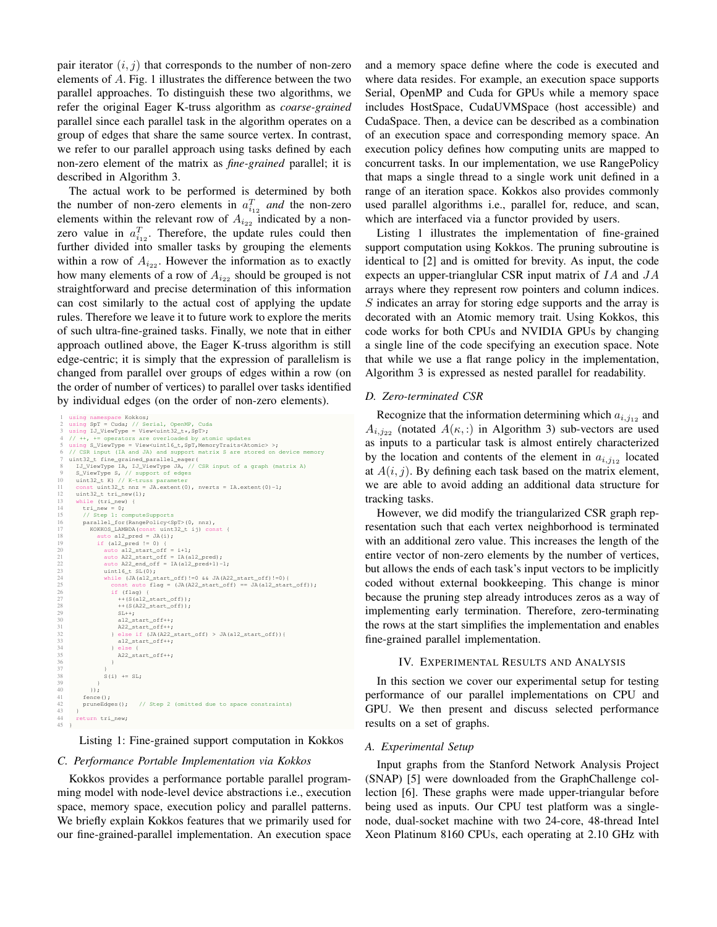pair iterator  $(i, j)$  that corresponds to the number of non-zero elements of A. Fig. 1 illustrates the difference between the two parallel approaches. To distinguish these two algorithms, we refer the original Eager K-truss algorithm as *coarse-grained* parallel since each parallel task in the algorithm operates on a group of edges that share the same source vertex. In contrast, we refer to our parallel approach using tasks defined by each non-zero element of the matrix as *fine-grained* parallel; it is described in Algorithm 3.

The actual work to be performed is determined by both the number of non-zero elements in  $a_{i_{12}}^T$  and the non-zero elements within the relevant row of  $A_{i_{22}}$  indicated by a nonzero value in  $a_{i_1}^T$ . Therefore, the update rules could then further divided into smaller tasks by grouping the elements within a row of  $A_{i_{22}}$ . However the information as to exactly how many elements of a row of  $A_{i_{22}}$  should be grouped is not straightforward and precise determination of this information can cost similarly to the actual cost of applying the update rules. Therefore we leave it to future work to explore the merits of such ultra-fine-grained tasks. Finally, we note that in either approach outlined above, the Eager K-truss algorithm is still edge-centric; it is simply that the expression of parallelism is changed from parallel over groups of edges within a row (on the order of number of vertices) to parallel over tasks identified by individual edges (on the order of non-zero elements).

```
l using namespace Kokkos;<br>2 using SpT = Cuda; // Serial, OpenMP, Cuda<br>3 using IJ_ViewType = View<uint32_t*,SpT>;<br>4 // ++, += operators are overloaded by atomic updates<br>5 using S_ViewType = View<uint16_t,SpT,MemoryTraits≺At
 7 uint32_t fine_grained_parallel_eager(
8 IJ_ViewType IA, IJ_ViewType JA, // CSR input of a graph (matrix A)
9 S_ViewType S, // support of edges
10 uint32_t K) // K-truss parameter
11 const uint32_t nnz = JA.extent(0), nverts = IA.extent(0)-1;<br>12 uint32_t tri_new(1);<br>13 while (tri_new) {
           uint32_t tri_new(1);
13 while (tri_new) {<br>14 tri new = 0;
14 tri_new = 0;<br>15 // Step 1: co<br>16 parallel_for<br>17 KOKKOS_LAME
 15 // Step 1: computeSupports
16 parallel_for(RangePolicy<SpT>(0, nnz),
 17 KOKKOS_LAMBDA(const uint32_t ij) const {
18 auto a12_pred = JA(i);
 19 if (a12_pred != 0) {<br>
20 auto a12_start_off = i+1;<br>
21 auto A22_start_off = IA(a12_pred);
 22 auto A22_end_off = IA(a12_pred+1)-1;
23 uint16_t SL(0);
24 while (JA(a12_start_off)!=0 && JA(A22_start_off)!=0){
22 auto A22 end off = IA(al2_pred+l)-1;<br>
23 unitl6 (JA(al2_start_off)!=0 66 JA(A22_start_off)!=0){<br>
25 const auto flag = (JA(A22_start_off) == JA(al2_start_off));<br>
26 if (flag)<br>
++(S(A22_start_off));<br>
++(S(A22_start_off
                             if (flag)+(S(a12\_start\_off));
                                 ++(S(A22_start_off));
29 SL++;<br>30 a12_s<br>31 a22_s<br>32 } e1se
                                 al2_start_off++;
                                 A22_start_off++;
                             32 } else if (JA(A22_start_off) > JA(a12_start_off)){
                                 al2_start_off++;
 34 } else {
35 A22_start_off++;
 36 }
37 }
                         S(i) += SL;
 39 }
\begin{array}{ccc} 40 & & \text{)}; \\ 41 & & \text{fence} \end{array}fence();<br>pruneEdges();
                                          // Step 2 (omitted due to space constraints)
42<br>43<br>44
          return tri_new;
45 }
```
Listing 1: Fine-grained support computation in Kokkos

#### *C. Performance Portable Implementation via Kokkos*

Kokkos provides a performance portable parallel programming model with node-level device abstractions i.e., execution space, memory space, execution policy and parallel patterns. We briefly explain Kokkos features that we primarily used for our fine-grained-parallel implementation. An execution space and a memory space define where the code is executed and where data resides. For example, an execution space supports Serial, OpenMP and Cuda for GPUs while a memory space includes HostSpace, CudaUVMSpace (host accessible) and CudaSpace. Then, a device can be described as a combination of an execution space and corresponding memory space. An execution policy defines how computing units are mapped to concurrent tasks. In our implementation, we use RangePolicy that maps a single thread to a single work unit defined in a range of an iteration space. Kokkos also provides commonly used parallel algorithms i.e., parallel for, reduce, and scan, which are interfaced via a functor provided by users.

Listing 1 illustrates the implementation of fine-grained support computation using Kokkos. The pruning subroutine is identical to [2] and is omitted for brevity. As input, the code expects an upper-trianglular CSR input matrix of IA and JA arrays where they represent row pointers and column indices. S indicates an array for storing edge supports and the array is decorated with an Atomic memory trait. Using Kokkos, this code works for both CPUs and NVIDIA GPUs by changing a single line of the code specifying an execution space. Note that while we use a flat range policy in the implementation, Algorithm 3 is expressed as nested parallel for readability.

### *D. Zero-terminated CSR*

Recognize that the information determining which  $a_{i,j_{12}}$  and  $A_{i,j_{22}}$  (notated  $A(\kappa,.)$  in Algorithm 3) sub-vectors are used as inputs to a particular task is almost entirely characterized by the location and contents of the element in  $a_{i,j12}$  located at  $A(i, j)$ . By defining each task based on the matrix element, we are able to avoid adding an additional data structure for tracking tasks.

However, we did modify the triangularized CSR graph representation such that each vertex neighborhood is terminated with an additional zero value. This increases the length of the entire vector of non-zero elements by the number of vertices, but allows the ends of each task's input vectors to be implicitly coded without external bookkeeping. This change is minor because the pruning step already introduces zeros as a way of implementing early termination. Therefore, zero-terminating the rows at the start simplifies the implementation and enables fine-grained parallel implementation.

# IV. EXPERIMENTAL RESULTS AND ANALYSIS

In this section we cover our experimental setup for testing performance of our parallel implementations on CPU and GPU. We then present and discuss selected performance results on a set of graphs.

#### *A. Experimental Setup*

Input graphs from the Stanford Network Analysis Project (SNAP) [5] were downloaded from the GraphChallenge collection [6]. These graphs were made upper-triangular before being used as inputs. Our CPU test platform was a singlenode, dual-socket machine with two 24-core, 48-thread Intel Xeon Platinum 8160 CPUs, each operating at 2.10 GHz with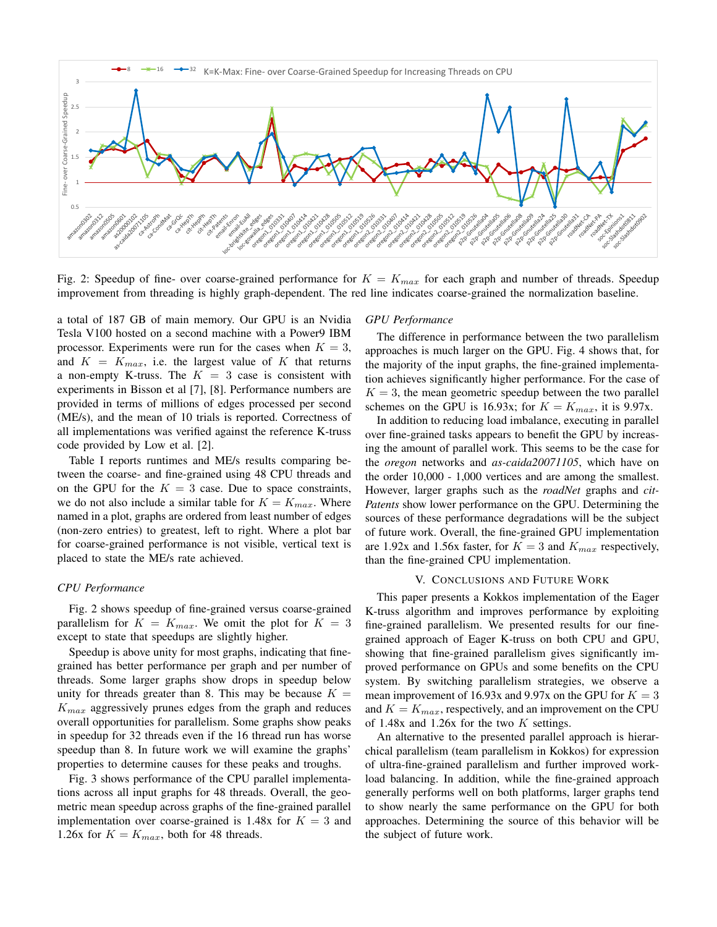

Fig. 2: Speedup of fine- over coarse-grained performance for  $K = K_{max}$  for each graph and number of threads. Speedup improvement from threading is highly graph-dependent. The red line indicates coarse-grained the normalization baseline.

a total of 187 GB of main memory. Our GPU is an Nvidia Tesla V100 hosted on a second machine with a Power9 IBM processor. Experiments were run for the cases when  $K = 3$ , and  $K = K_{max}$ , i.e. the largest value of K that returns a non-empty K-truss. The  $K = 3$  case is consistent with experiments in Bisson et al [7], [8]. Performance numbers are provided in terms of millions of edges processed per second (ME/s), and the mean of 10 trials is reported. Correctness of all implementations was verified against the reference K-truss code provided by Low et al. [2].

Table I reports runtimes and ME/s results comparing between the coarse- and fine-grained using 48 CPU threads and on the GPU for the  $K = 3$  case. Due to space constraints, we do not also include a similar table for  $K = K_{max}$ . Where named in a plot, graphs are ordered from least number of edges (non-zero entries) to greatest, left to right. Where a plot bar for coarse-grained performance is not visible, vertical text is placed to state the ME/s rate achieved.

## *CPU Performance*

Fig. 2 shows speedup of fine-grained versus coarse-grained parallelism for  $K = K_{max}$ . We omit the plot for  $K = 3$ except to state that speedups are slightly higher.

Speedup is above unity for most graphs, indicating that finegrained has better performance per graph and per number of threads. Some larger graphs show drops in speedup below unity for threads greater than 8. This may be because  $K =$  $K_{max}$  aggressively prunes edges from the graph and reduces overall opportunities for parallelism. Some graphs show peaks in speedup for 32 threads even if the 16 thread run has worse speedup than 8. In future work we will examine the graphs' properties to determine causes for these peaks and troughs.

Fig. 3 shows performance of the CPU parallel implementations across all input graphs for 48 threads. Overall, the geometric mean speedup across graphs of the fine-grained parallel implementation over coarse-grained is 1.48x for  $K = 3$  and 1.26x for  $K = K_{max}$ , both for 48 threads.

#### *GPU Performance*

The difference in performance between the two parallelism approaches is much larger on the GPU. Fig. 4 shows that, for the majority of the input graphs, the fine-grained implementation achieves significantly higher performance. For the case of  $K = 3$ , the mean geometric speedup between the two parallel schemes on the GPU is 16.93x; for  $K = K_{max}$ , it is 9.97x.

In addition to reducing load imbalance, executing in parallel over fine-grained tasks appears to benefit the GPU by increasing the amount of parallel work. This seems to be the case for the *oregon* networks and *as-caida20071105*, which have on the order 10,000 - 1,000 vertices and are among the smallest. However, larger graphs such as the *roadNet* graphs and *cit-Patents* show lower performance on the GPU. Determining the sources of these performance degradations will be the subject of future work. Overall, the fine-grained GPU implementation are 1.92x and 1.56x faster, for  $K = 3$  and  $K_{max}$  respectively, than the fine-grained CPU implementation.

### V. CONCLUSIONS AND FUTURE WORK

This paper presents a Kokkos implementation of the Eager K-truss algorithm and improves performance by exploiting fine-grained parallelism. We presented results for our finegrained approach of Eager K-truss on both CPU and GPU, showing that fine-grained parallelism gives significantly improved performance on GPUs and some benefits on the CPU system. By switching parallelism strategies, we observe a mean improvement of 16.93x and 9.97x on the GPU for  $K = 3$ and  $K = K_{max}$ , respectively, and an improvement on the CPU of 1.48x and 1.26x for the two  $K$  settings.

An alternative to the presented parallel approach is hierarchical parallelism (team parallelism in Kokkos) for expression of ultra-fine-grained parallelism and further improved workload balancing. In addition, while the fine-grained approach generally performs well on both platforms, larger graphs tend to show nearly the same performance on the GPU for both approaches. Determining the source of this behavior will be the subject of future work.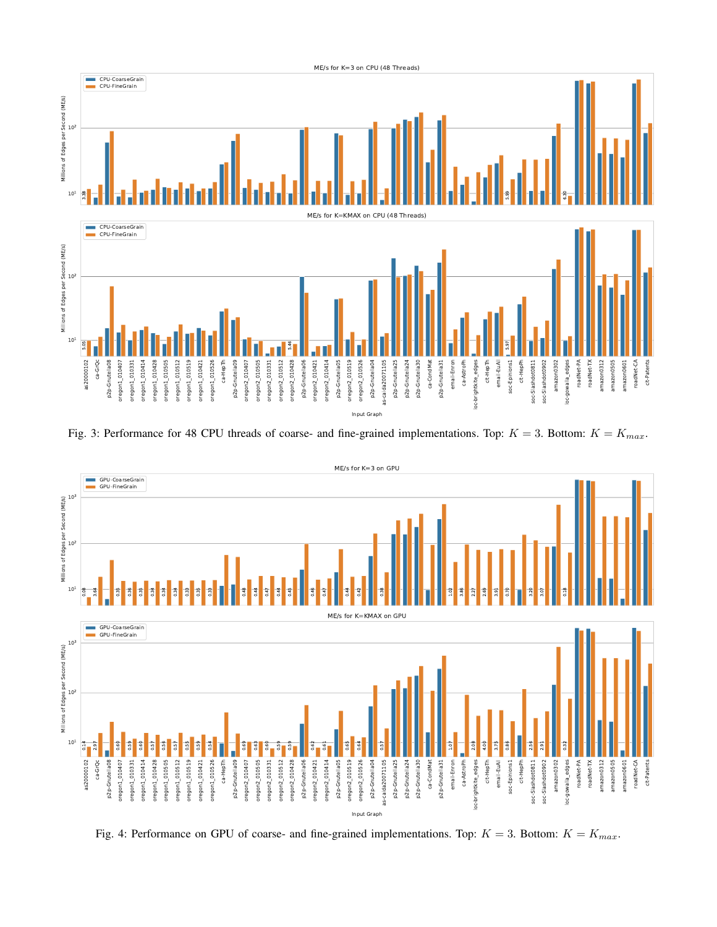

Fig. 3: Performance for 48 CPU threads of coarse- and fine-grained implementations. Top:  $K = 3$ . Bottom:  $K = K_{max}$ .



Fig. 4: Performance on GPU of coarse- and fine-grained implementations. Top:  $K = 3$ . Bottom:  $K = K_{max}$ .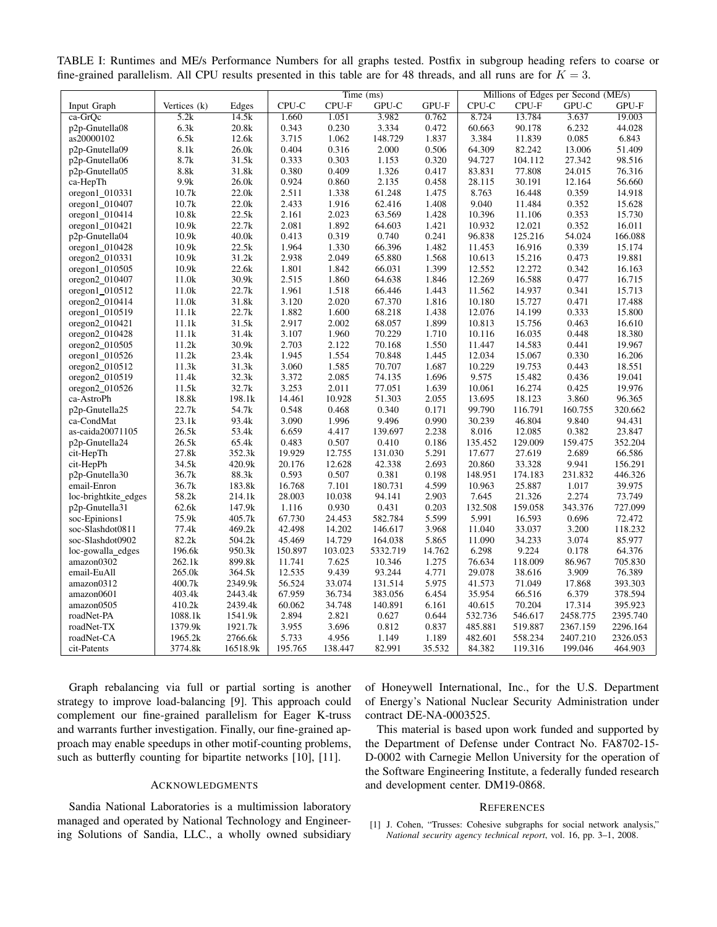|                      |              |          | Time (ms) |         |          | Millions of Edges per Second (ME/s) |         |         |          |          |
|----------------------|--------------|----------|-----------|---------|----------|-------------------------------------|---------|---------|----------|----------|
| Input Graph          | Vertices (k) | Edges    | $CPU-C$   | CPU-F   | GPU-C    | GPU-F                               | CPU-C   | CPU-F   | GPU-C    | GPU-F    |
| ca-GrOc              | 5.2k         | 14.5k    | 1.660     | 1.051   | 3.982    | 0.762                               | 8.724   | 13.784  | 3.637    | 19.003   |
| p2p-Gnutella08       | 6.3k         | 20.8k    | 0.343     | 0.230   | 3.334    | 0.472                               | 60.663  | 90.178  | 6.232    | 44.028   |
| as20000102           | 6.5k         | 12.6k    | 3.715     | 1.062   | 148.729  | 1.837                               | 3.384   | 11.839  | 0.085    | 6.843    |
| p2p-Gnutella09       | 8.1k         | 26.0k    | 0.404     | 0.316   | 2.000    | 0.506                               | 64.309  | 82.242  | 13.006   | 51.409   |
| p2p-Gnutella06       | 8.7k         | 31.5k    | 0.333     | 0.303   | 1.153    | 0.320                               | 94.727  | 104.112 | 27.342   | 98.516   |
| p2p-Gnutella05       | 8.8k         | 31.8k    | 0.380     | 0.409   | 1.326    | 0.417                               | 83.831  | 77.808  | 24.015   | 76.316   |
| ca-HepTh             | 9.9k         | 26.0k    | 0.924     | 0.860   | 2.135    | 0.458                               | 28.115  | 30.191  | 12.164   | 56.660   |
| oregon1_010331       | 10.7k        | 22.0k    | 2.511     | 1.338   | 61.248   | 1.475                               | 8.763   | 16.448  | 0.359    | 14.918   |
| oregon1 010407       | 10.7k        | 22.0k    | 2.433     | 1.916   | 62.416   | 1.408                               | 9.040   | 11.484  | 0.352    | 15.628   |
| $oregon1_010414$     | 10.8k        | 22.5k    | 2.161     | 2.023   | 63.569   | 1.428                               | 10.396  | 11.106  | 0.353    | 15.730   |
| $oregon1_010421$     | 10.9k        | 22.7k    | 2.081     | 1.892   | 64.603   | 1.421                               | 10.932  | 12.021  | 0.352    | 16.011   |
| p2p-Gnutella04       | 10.9k        | 40.0k    | 0.413     | 0.319   | 0.740    | 0.241                               | 96.838  | 125.216 | 54.024   | 166.088  |
| oregon1_010428       | 10.9k        | 22.5k    | 1.964     | 1.330   | 66.396   | 1.482                               | 11.453  | 16.916  | 0.339    | 15.174   |
| oregon2_010331       | 10.9k        | 31.2k    | 2.938     | 2.049   | 65.880   | 1.568                               | 10.613  | 15.216  | 0.473    | 19.881   |
| oregon1_010505       | 10.9k        | 22.6k    | 1.801     | 1.842   | 66.031   | 1.399                               | 12.552  | 12.272  | 0.342    | 16.163   |
| oregon2_010407       | 11.0k        | 30.9k    | 2.515     | 1.860   | 64.638   | 1.846                               | 12.269  | 16.588  | 0.477    | 16.715   |
| $oregon1_010512$     | 11.0k        | 22.7k    | 1.961     | 1.518   | 66.446   | 1.443                               | 11.562  | 14.937  | 0.341    | 15.713   |
| oregon2_010414       | 11.0k        | 31.8k    | 3.120     | 2.020   | 67.370   | 1.816                               | 10.180  | 15.727  | 0.471    | 17.488   |
| oregon1_010519       | 11.1k        | 22.7k    | 1.882     | 1.600   | 68.218   | 1.438                               | 12.076  | 14.199  | 0.333    | 15.800   |
| oregon2_010421       | 11.1k        | 31.5k    | 2.917     | 2.002   | 68.057   | 1.899                               | 10.813  | 15.756  | 0.463    | 16.610   |
| $oregon2_010428$     | 11.1k        | 31.4k    | 3.107     | 1.960   | 70.229   | 1.710                               | 10.116  | 16.035  | 0.448    | 18.380   |
| $oregon2_010505$     | 11.2k        | 30.9k    | 2.703     | 2.122   | 70.168   | 1.550                               | 11.447  | 14.583  | 0.441    | 19.967   |
| oregon1_010526       | 11.2k        | 23.4k    | 1.945     | 1.554   | 70.848   | 1.445                               | 12.034  | 15.067  | 0.330    | 16.206   |
| oregon2_010512       | 11.3k        | 31.3k    | 3.060     | 1.585   | 70.707   | 1.687                               | 10.229  | 19.753  | 0.443    | 18.551   |
| $oregon2_010519$     | 11.4k        | 32.3k    | 3.372     | 2.085   | 74.135   | 1.696                               | 9.575   | 15.482  | 0.436    | 19.041   |
| oregon2_010526       | 11.5k        | 32.7k    | 3.253     | 2.011   | 77.051   | 1.639                               | 10.061  | 16.274  | 0.425    | 19.976   |
| ca-AstroPh           | 18.8k        | 198.1k   | 14.461    | 10.928  | 51.303   | 2.055                               | 13.695  | 18.123  | 3.860    | 96.365   |
| p2p-Gnutella25       | 22.7k        | 54.7k    | 0.548     | 0.468   | 0.340    | 0.171                               | 99.790  | 116.791 | 160.755  | 320.662  |
| ca-CondMat           | 23.1k        | 93.4k    | 3.090     | 1.996   | 9.496    | 0.990                               | 30.239  | 46.804  | 9.840    | 94.431   |
| as-caida20071105     | 26.5k        | 53.4k    | 6.659     | 4.417   | 139.697  | 2.238                               | 8.016   | 12.085  | 0.382    | 23.847   |
| p2p-Gnutella24       | 26.5k        | 65.4k    | 0.483     | 0.507   | 0.410    | 0.186                               | 135.452 | 129.009 | 159.475  | 352.204  |
| cit-HepTh            | 27.8k        | 352.3k   | 19.929    | 12.755  | 131.030  | 5.291                               | 17.677  | 27.619  | 2.689    | 66.586   |
| cit-HepPh            | 34.5k        | 420.9k   | 20.176    | 12.628  | 42.338   | 2.693                               | 20.860  | 33.328  | 9.941    | 156.291  |
| p2p-Gnutella30       | 36.7k        | 88.3k    | 0.593     | 0.507   | 0.381    | 0.198                               | 148.951 | 174.183 | 231.832  | 446.326  |
| email-Enron          | 36.7k        | 183.8k   | 16.768    | 7.101   | 180.731  | 4.599                               | 10.963  | 25.887  | 1.017    | 39.975   |
| loc-brightkite_edges | 58.2k        | 214.1k   | 28.003    | 10.038  | 94.141   | 2.903                               | 7.645   | 21.326  | 2.274    | 73.749   |
| p2p-Gnutella31       | 62.6k        | 147.9k   | 1.116     | 0.930   | 0.431    | 0.203                               | 132.508 | 159.058 | 343.376  | 727.099  |
| soc-Epinions1        | 75.9k        | 405.7k   | 67.730    | 24.453  | 582.784  | 5.599                               | 5.991   | 16.593  | 0.696    | 72.472   |
| soc-Slashdot0811     | 77.4k        | 469.2k   | 42.498    | 14.202  | 146.617  | 3.968                               | 11.040  | 33.037  | 3.200    | 118.232  |
| soc-Slashdot0902     | 82.2k        | 504.2k   | 45.469    | 14.729  | 164.038  | 5.865                               | 11.090  | 34.233  | 3.074    | 85.977   |
| loc-gowalla_edges    | 196.6k       | 950.3k   | 150.897   | 103.023 | 5332.719 | 14.762                              | 6.298   | 9.224   | 0.178    | 64.376   |
| amazon0302           | 262.1k       | 899.8k   | 11.741    | 7.625   | 10.346   | 1.275                               | 76.634  | 118.009 | 86.967   | 705.830  |
| email-EuAll          | 265.0k       | 364.5k   | 12.535    | 9.439   | 93.244   | 4.771                               | 29.078  | 38.616  | 3.909    | 76.389   |
| amazon0312           | 400.7k       | 2349.9k  | 56.524    | 33.074  | 131.514  | 5.975                               | 41.573  | 71.049  | 17.868   | 393.303  |
| amazon0601           | 403.4k       | 2443.4k  | 67.959    | 36.734  | 383.056  | 6.454                               | 35.954  | 66.516  | 6.379    | 378.594  |
| amazon0505           | 410.2k       | 2439.4k  | 60.062    | 34.748  | 140.891  | 6.161                               | 40.615  | 70.204  | 17.314   | 395.923  |
| roadNet-PA           | 1088.1k      | 1541.9k  | 2.894     | 2.821   | 0.627    | 0.644                               | 532.736 | 546.617 | 2458.775 | 2395.740 |
| roadNet-TX           | 1379.9k      | 1921.7k  | 3.955     | 3.696   | 0.812    | 0.837                               | 485.881 | 519.887 | 2367.159 | 2296.164 |
| roadNet-CA           | 1965.2k      | 2766.6k  | 5.733     | 4.956   | 1.149    | 1.189                               | 482.601 | 558.234 | 2407.210 | 2326.053 |
| cit-Patents          | 3774.8k      | 16518.9k | 195.765   | 138.447 | 82.991   | 35.532                              | 84.382  | 119.316 | 199.046  | 464.903  |

TABLE I: Runtimes and ME/s Performance Numbers for all graphs tested. Postfix in subgroup heading refers to coarse or fine-grained parallelism. All CPU results presented in this table are for 48 threads, and all runs are for  $K = 3$ .

Graph rebalancing via full or partial sorting is another strategy to improve load-balancing [9]. This approach could complement our fine-grained parallelism for Eager K-truss and warrants further investigation. Finally, our fine-grained approach may enable speedups in other motif-counting problems, such as butterfly counting for bipartite networks [10], [11].

# ACKNOWLEDGMENTS

Sandia National Laboratories is a multimission laboratory managed and operated by National Technology and Engineering Solutions of Sandia, LLC., a wholly owned subsidiary of Honeywell International, Inc., for the U.S. Department of Energy's National Nuclear Security Administration under contract DE-NA-0003525.

This material is based upon work funded and supported by the Department of Defense under Contract No. FA8702-15- D-0002 with Carnegie Mellon University for the operation of the Software Engineering Institute, a federally funded research and development center. DM19-0868.

#### **REFERENCES**

[1] J. Cohen, "Trusses: Cohesive subgraphs for social network analysis," *National security agency technical report*, vol. 16, pp. 3–1, 2008.